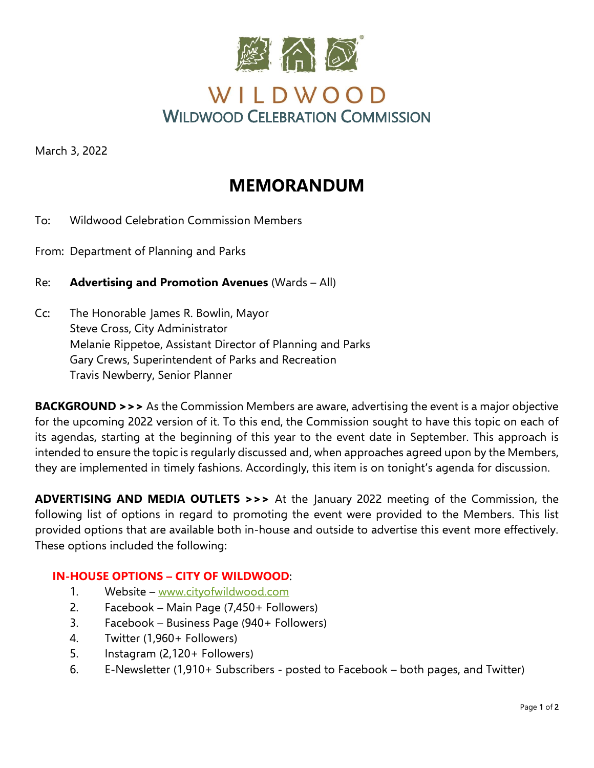

March 3, 2022

## **MEMORANDUM**

- To: Wildwood Celebration Commission Members
- From: Department of Planning and Parks

Re: **Advertising and Promotion Avenues** (Wards – All)

Cc: The Honorable James R. Bowlin, Mayor Steve Cross, City Administrator Melanie Rippetoe, Assistant Director of Planning and Parks Gary Crews, Superintendent of Parks and Recreation Travis Newberry, Senior Planner

**BACKGROUND >>>** As the Commission Members are aware, advertising the event is a major objective for the upcoming 2022 version of it. To this end, the Commission sought to have this topic on each of its agendas, starting at the beginning of this year to the event date in September. This approach is intended to ensure the topic is regularly discussed and, when approaches agreed upon by the Members, they are implemented in timely fashions. Accordingly, this item is on tonight's agenda for discussion.

**ADVERTISING AND MEDIA OUTLETS >>>** At the January 2022 meeting of the Commission, the following list of options in regard to promoting the event were provided to the Members. This list provided options that are available both in-house and outside to advertise this event more effectively. These options included the following:

## **IN-HOUSE OPTIONS – CITY OF WILDWOOD**:

- 1. Website [www.cityofwildwood.com](http://www.cityofwildwood.com/)
- 2. Facebook Main Page (7,450+ Followers)
- 3. Facebook Business Page (940+ Followers)
- 4. Twitter (1,960+ Followers)
- 5. Instagram (2,120+ Followers)
- 6. E-Newsletter (1,910+ Subscribers posted to Facebook both pages, and Twitter)